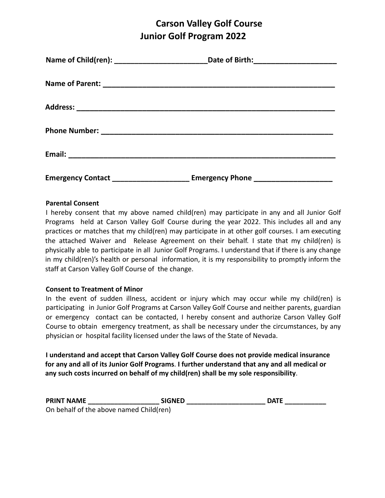## **Carson Valley Golf Course Junior Golf Program 2022**

| Emergency Contact _____________________________ Emergency Phone ________________ |  |
|----------------------------------------------------------------------------------|--|

#### **Parental Consent**

I hereby consent that my above named child(ren) may participate in any and all Junior Golf Programs held at Carson Valley Golf Course during the year 2022. This includes all and any practices or matches that my child(ren) may participate in at other golf courses. I am executing the attached Waiver and Release Agreement on their behalf. I state that my child(ren) is physically able to participate in all Junior Golf Programs. I understand that if there is any change in my child(ren)'s health or personal information, it is my responsibility to promptly inform the staff at Carson Valley Golf Course of the change.

#### **Consent to Treatment of Minor**

In the event of sudden illness, accident or injury which may occur while my child(ren) is participating in Junior Golf Programs at Carson Valley Golf Course and neither parents, guardian or emergency contact can be contacted, I hereby consent and authorize Carson Valley Golf Course to obtain emergency treatment, as shall be necessary under the circumstances, by any physician or hospital facility licensed under the laws of the State of Nevada.

**I understand and accept that Carson Valley Golf Course does not provide medical insurance for any and all of its Junior Golf Programs**. **I further understand that any and all medical or any such costs incurred on behalf of my child(ren) shall be my sole responsibility**.

| <b>PRINT NAME</b> | <b>SIGNED</b>                           | <b>DATF</b> |
|-------------------|-----------------------------------------|-------------|
|                   | On behalf of the above named Child(ren) |             |